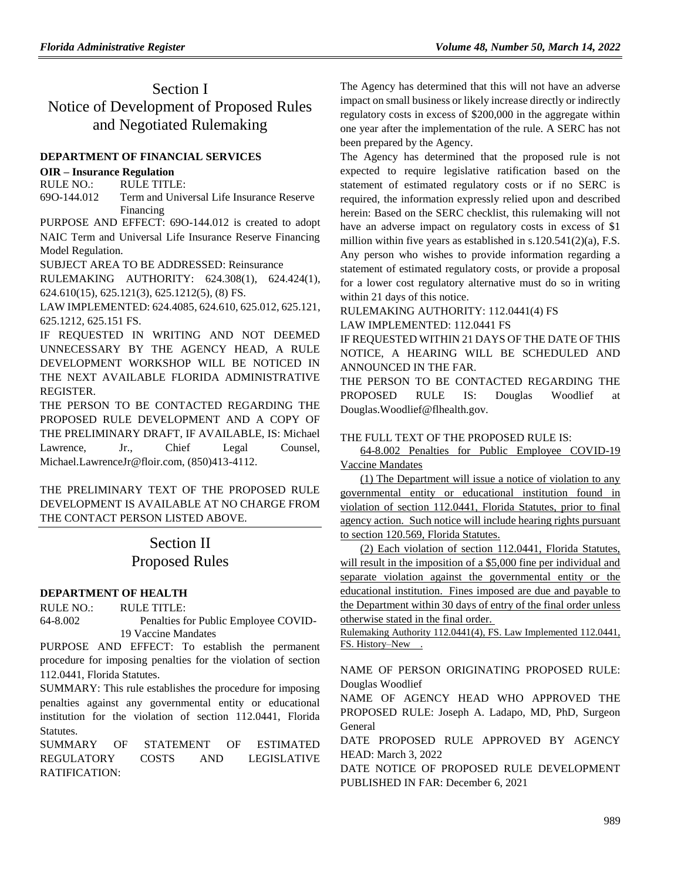# Section I Notice of Development of Proposed Rules and Negotiated Rulemaking

## **[DEPARTMENT OF FINANCIAL SERVICES](https://www.flrules.org/gateway/department.asp?id=69)**

### **OIR – [Insurance Regulation](https://www.flrules.org/gateway/organization.asp?id=520)**

RULE NO.: RULE TITLE:

[69O-144.012](https://www.flrules.org/gateway/ruleNo.asp?id=69O-144.012) Term and Universal Life Insurance Reserve Financing

PURPOSE AND EFFECT: 69O-144.012 is created to adopt NAIC Term and Universal Life Insurance Reserve Financing Model Regulation.

SUBJECT AREA TO BE ADDRESSED: Reinsurance

RULEMAKING AUTHORITY: [624.308\(1\),](https://www.flrules.org/gateway/statute.asp?id=624.308(1)) [624.424\(1\),](https://www.flrules.org/gateway/statute.asp?id=%20624.424(1)) [624.610\(15\),](https://www.flrules.org/gateway/statute.asp?id=%20624.610(15)) [625.121\(3\),](https://www.flrules.org/gateway/statute.asp?id=%20625.121(3)) [625.1212\(5\),](https://www.flrules.org/gateway/statute.asp?id=%20625.1212(5)) (8) FS.

LAW IMPLEMENTED: [624.4085,](https://www.flrules.org/gateway/statute.asp?id=624.4085) [624.610,](https://www.flrules.org/gateway/statute.asp?id=%20624.610) [625.012,](https://www.flrules.org/gateway/statute.asp?id=%20625.012) [625.121,](https://www.flrules.org/gateway/statute.asp?id=%20625.121) [625.1212,](https://www.flrules.org/gateway/statute.asp?id=%20625.1212) [625.151 FS.](https://www.flrules.org/gateway/statute.asp?id=%20625.151%20FS.)

IF REQUESTED IN WRITING AND NOT DEEMED UNNECESSARY BY THE AGENCY HEAD, A RULE DEVELOPMENT WORKSHOP WILL BE NOTICED IN THE NEXT AVAILABLE FLORIDA ADMINISTRATIVE REGISTER.

THE PERSON TO BE CONTACTED REGARDING THE PROPOSED RULE DEVELOPMENT AND A COPY OF THE PRELIMINARY DRAFT, IF AVAILABLE, IS: Michael Lawrence, Jr., Chief Legal Counsel, Michael.LawrenceJr@floir.com, (850)413-4112.

THE PRELIMINARY TEXT OF THE PROPOSED RULE DEVELOPMENT IS AVAILABLE AT NO CHARGE FROM THE CONTACT PERSON LISTED ABOVE.

# Section II Proposed Rules

### **[DEPARTMENT OF HEALTH](https://www.flrules.org/gateway/department.asp?id=64)**

RULE NO.: RULE TITLE: [64-8.002](https://www.flrules.org/gateway/ruleNo.asp?id=64-8.002) Penalties for Public Employee COVID-19 Vaccine Mandates

PURPOSE AND EFFECT: To establish the permanent procedure for imposing penalties for the violation of section 112.0441, Florida Statutes.

SUMMARY: This rule establishes the procedure for imposing penalties against any governmental entity or educational institution for the violation of section 112.0441, Florida **Statutes** 

SUMMARY OF STATEMENT OF ESTIMATED REGULATORY COSTS AND LEGISLATIVE RATIFICATION:

The Agency has determined that this will not have an adverse impact on small business or likely increase directly or indirectly regulatory costs in excess of \$200,000 in the aggregate within one year after the implementation of the rule. A SERC has not been prepared by the Agency.

The Agency has determined that the proposed rule is not expected to require legislative ratification based on the statement of estimated regulatory costs or if no SERC is required, the information expressly relied upon and described herein: Based on the SERC checklist, this rulemaking will not have an adverse impact on regulatory costs in excess of \$1 million within five years as established in s.120.541(2)(a), F.S. Any person who wishes to provide information regarding a statement of estimated regulatory costs, or provide a proposal for a lower cost regulatory alternative must do so in writing within 21 days of this notice.

RULEMAKING AUTHORITY: [112.0441\(4\) FS](https://www.flrules.org/gateway/cfr.asp?id=112.0441(4)%20FS)

LAW IMPLEMENTED: [112.0441 FS](https://www.flrules.org/gateway/cfr.asp?id=112.0441%20FS)

IF REQUESTED WITHIN 21 DAYS OF THE DATE OF THIS NOTICE, A HEARING WILL BE SCHEDULED AND ANNOUNCED IN THE FAR.

THE PERSON TO BE CONTACTED REGARDING THE PROPOSED RULE IS: Douglas Woodlief at Douglas.Woodlief@flhealth.gov.

#### THE FULL TEXT OF THE PROPOSED RULE IS:

64-8.002 Penalties for Public Employee COVID-19 Vaccine Mandates

(1) The Department will issue a notice of violation to any governmental entity or educational institution found in violation of section 112.0441, Florida Statutes, prior to final agency action. Such notice will include hearing rights pursuant to section 120.569, Florida Statutes.

(2) Each violation of section 112.0441, Florida Statutes, will result in the imposition of a \$5,000 fine per individual and separate violation against the governmental entity or the educational institution. Fines imposed are due and payable to the Department within 30 days of entry of the final order unless otherwise stated in the final order.

Rulemaking Authority 112.0441(4), FS. Law Implemented 112.0441, FS. History–New .

NAME OF PERSON ORIGINATING PROPOSED RULE: Douglas Woodlief

NAME OF AGENCY HEAD WHO APPROVED THE PROPOSED RULE: Joseph A. Ladapo, MD, PhD, Surgeon General

DATE PROPOSED RULE APPROVED BY AGENCY HEAD: March 3, 2022

DATE NOTICE OF PROPOSED RULE DEVELOPMENT PUBLISHED IN FAR: December 6, 2021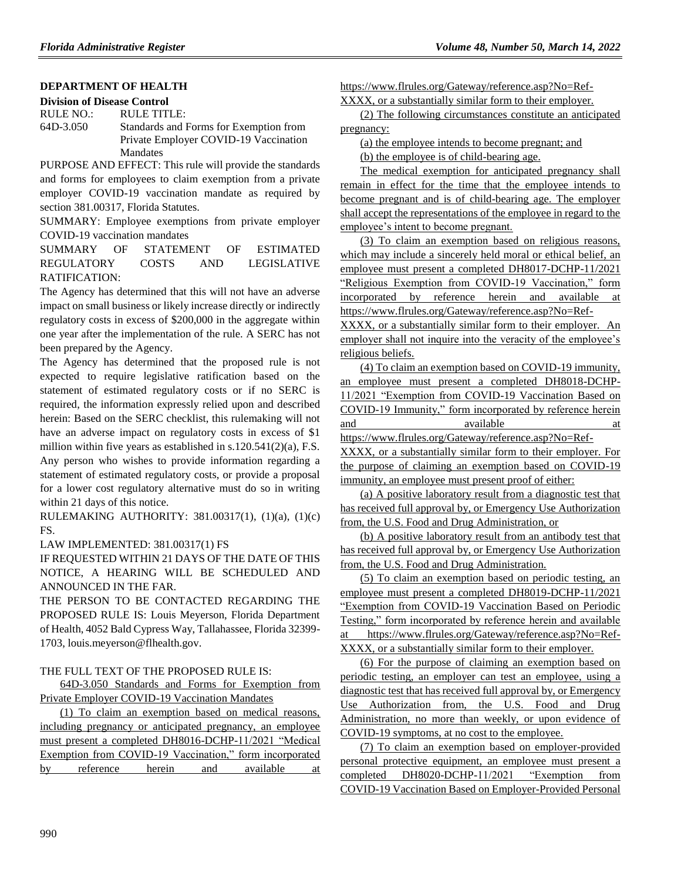#### **[DEPARTMENT OF HEALTH](https://www.flrules.org/gateway/department.asp?id=64)**

#### **[Division of Disease Control](https://www.flrules.org/gateway/organization.asp?id=334)**

RULE NO.: RULE TITLE: [64D-3.050](https://www.flrules.org/gateway/ruleNo.asp?id=64D-3.050) Standards and Forms for Exemption from Private Employer COVID-19 Vaccination Mandates

PURPOSE AND EFFECT: This rule will provide the standards and forms for employees to claim exemption from a private employer COVID-19 vaccination mandate as required by section 381.00317, Florida Statutes.

SUMMARY: Employee exemptions from private employer COVID-19 vaccination mandates

SUMMARY OF STATEMENT OF ESTIMATED REGULATORY COSTS AND LEGISLATIVE RATIFICATION:

The Agency has determined that this will not have an adverse impact on small business or likely increase directly or indirectly regulatory costs in excess of \$200,000 in the aggregate within one year after the implementation of the rule. A SERC has not been prepared by the Agency.

The Agency has determined that the proposed rule is not expected to require legislative ratification based on the statement of estimated regulatory costs or if no SERC is required, the information expressly relied upon and described herein: Based on the SERC checklist, this rulemaking will not have an adverse impact on regulatory costs in excess of \$1 million within five years as established in s.120.541(2)(a), F.S. Any person who wishes to provide information regarding a statement of estimated regulatory costs, or provide a proposal for a lower cost regulatory alternative must do so in writing within 21 days of this notice.

RULEMAKING AUTHORITY: [381.00317\(1\),](https://www.flrules.org/gateway/statute.asp?id=381.00317(1)) (1)(a), (1)(c) FS.

LAW IMPLEMENTED: [381.00317\(1\) FS](https://www.flrules.org/gateway/cfr.asp?id=381.00317(1)%20FS)

IF REQUESTED WITHIN 21 DAYS OF THE DATE OF THIS NOTICE, A HEARING WILL BE SCHEDULED AND ANNOUNCED IN THE FAR.

THE PERSON TO BE CONTACTED REGARDING THE PROPOSED RULE IS: Louis Meyerson, Florida Department of Health, 4052 Bald Cypress Way, Tallahassee, Florida 32399- 1703, louis.meyerson@flhealth.gov.

#### THE FULL TEXT OF THE PROPOSED RULE IS:

64D-3.050 Standards and Forms for Exemption from Private Employer COVID-19 Vaccination Mandates

(1) To claim an exemption based on medical reasons, including pregnancy or anticipated pregnancy, an employee must present a completed DH8016-DCHP-11/2021 "Medical Exemption from COVID-19 Vaccination," form incorporated by reference herein and available at https://www.flrules.org/Gateway/reference.asp?No=Ref-XXXX, or a substantially similar form to their employer.

(2) The following circumstances constitute an anticipated pregnancy:

(a) the employee intends to become pregnant; and

(b) the employee is of child-bearing age.

The medical exemption for anticipated pregnancy shall remain in effect for the time that the employee intends to become pregnant and is of child-bearing age. The employer shall accept the representations of the employee in regard to the employee's intent to become pregnant.

(3) To claim an exemption based on religious reasons, which may include a sincerely held moral or ethical belief, an employee must present a completed DH8017-DCHP-11/2021 "Religious Exemption from COVID-19 Vaccination," form incorporated by reference herein and available at https://www.flrules.org/Gateway/reference.asp?No=Ref-

XXXX, or a substantially similar form to their employer. An employer shall not inquire into the veracity of the employee's religious beliefs.

(4) To claim an exemption based on COVID-19 immunity, an employee must present a completed DH8018-DCHP-11/2021 "Exemption from COVID-19 Vaccination Based on COVID-19 Immunity," form incorporated by reference herein and available at a variable at  $\alpha$ 

https://www.flrules.org/Gateway/reference.asp?No=Ref-XXXX, or a substantially similar form to their employer. For the purpose of claiming an exemption based on COVID-19 immunity, an employee must present proof of either:

(a) A positive laboratory result from a diagnostic test that has received full approval by, or Emergency Use Authorization from, the U.S. Food and Drug Administration, or

(b) A positive laboratory result from an antibody test that has received full approval by, or Emergency Use Authorization from, the U.S. Food and Drug Administration.

(5) To claim an exemption based on periodic testing, an employee must present a completed DH8019-DCHP-11/2021 "Exemption from COVID-19 Vaccination Based on Periodic Testing," form incorporated by reference herein and available at https://www.flrules.org/Gateway/reference.asp?No=Ref-XXXX, or a substantially similar form to their employer.

(6) For the purpose of claiming an exemption based on periodic testing, an employer can test an employee, using a diagnostic test that has received full approval by, or Emergency Use Authorization from, the U.S. Food and Drug Administration, no more than weekly, or upon evidence of COVID-19 symptoms, at no cost to the employee.

(7) To claim an exemption based on employer-provided personal protective equipment, an employee must present a completed DH8020-DCHP-11/2021 "Exemption from COVID-19 Vaccination Based on Employer-Provided Personal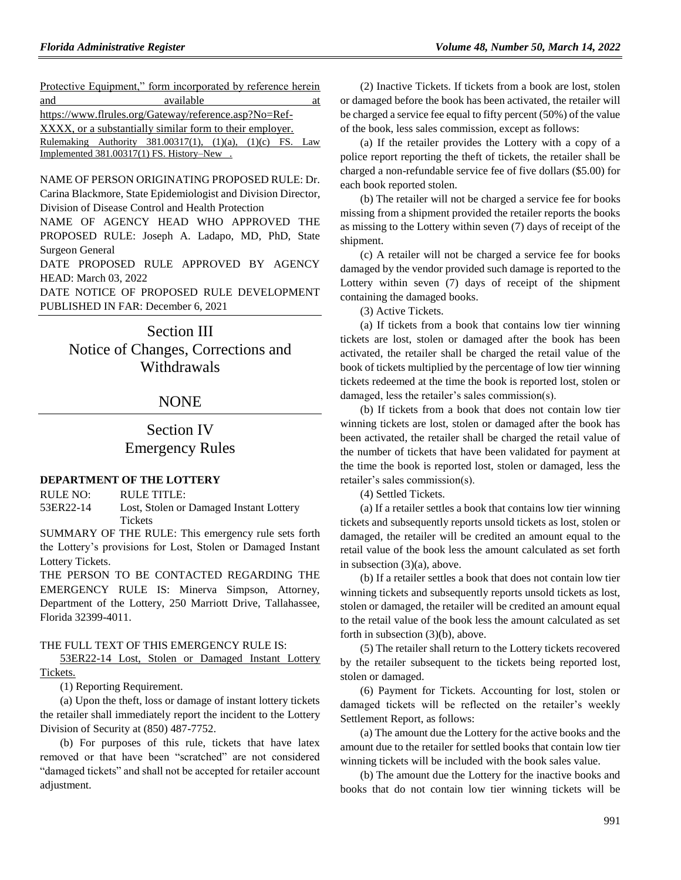|     | Protective Equipment," form incorporated by reference herein |    |
|-----|--------------------------------------------------------------|----|
| and | available                                                    | at |
|     | https://www.flrules.org/Gateway/reference.asp?No=Ref-        |    |
|     | XXXX, or a substantially similar form to their employer.     |    |

Rulemaking Authority  $381.00317(1)$ ,  $(1)(a)$ ,  $(1)(c)$  FS. Law Implemented 381.00317(1) FS. History–New .

NAME OF PERSON ORIGINATING PROPOSED RULE: Dr.

Carina Blackmore, State Epidemiologist and Division Director, Division of Disease Control and Health Protection

NAME OF AGENCY HEAD WHO APPROVED THE PROPOSED RULE: Joseph A. Ladapo, MD, PhD, State Surgeon General

DATE PROPOSED RULE APPROVED BY AGENCY HEAD: March 03, 2022

DATE NOTICE OF PROPOSED RULE DEVELOPMENT PUBLISHED IN FAR: December 6, 2021

## Section III Notice of Changes, Corrections and Withdrawals

## NONE

# Section IV Emergency Rules

### **DEPARTMENT OF THE LOTTERY**

RULE NO: RULE TITLE: 53ER22-14 Lost, Stolen or Damaged Instant Lottery **Tickets** 

SUMMARY OF THE RULE: This emergency rule sets forth the Lottery's provisions for Lost, Stolen or Damaged Instant Lottery Tickets.

THE PERSON TO BE CONTACTED REGARDING THE EMERGENCY RULE IS: Minerva Simpson, Attorney, Department of the Lottery, 250 Marriott Drive, Tallahassee, Florida 32399-4011.

### THE FULL TEXT OF THIS EMERGENCY RULE IS:

53ER22-14 Lost, Stolen or Damaged Instant Lottery Tickets.

(1) Reporting Requirement.

(a) Upon the theft, loss or damage of instant lottery tickets the retailer shall immediately report the incident to the Lottery Division of Security at (850) 487-7752.

(b) For purposes of this rule, tickets that have latex removed or that have been "scratched" are not considered "damaged tickets" and shall not be accepted for retailer account adjustment.

(2) Inactive Tickets. If tickets from a book are lost, stolen or damaged before the book has been activated, the retailer will be charged a service fee equal to fifty percent (50%) of the value of the book, less sales commission, except as follows:

(a) If the retailer provides the Lottery with a copy of a police report reporting the theft of tickets, the retailer shall be charged a non-refundable service fee of five dollars (\$5.00) for each book reported stolen.

(b) The retailer will not be charged a service fee for books missing from a shipment provided the retailer reports the books as missing to the Lottery within seven (7) days of receipt of the shipment.

(c) A retailer will not be charged a service fee for books damaged by the vendor provided such damage is reported to the Lottery within seven (7) days of receipt of the shipment containing the damaged books.

(3) Active Tickets.

(a) If tickets from a book that contains low tier winning tickets are lost, stolen or damaged after the book has been activated, the retailer shall be charged the retail value of the book of tickets multiplied by the percentage of low tier winning tickets redeemed at the time the book is reported lost, stolen or damaged, less the retailer's sales commission(s).

(b) If tickets from a book that does not contain low tier winning tickets are lost, stolen or damaged after the book has been activated, the retailer shall be charged the retail value of the number of tickets that have been validated for payment at the time the book is reported lost, stolen or damaged, less the retailer's sales commission(s).

(4) Settled Tickets.

(a) If a retailer settles a book that contains low tier winning tickets and subsequently reports unsold tickets as lost, stolen or damaged, the retailer will be credited an amount equal to the retail value of the book less the amount calculated as set forth in subsection (3)(a), above.

(b) If a retailer settles a book that does not contain low tier winning tickets and subsequently reports unsold tickets as lost, stolen or damaged, the retailer will be credited an amount equal to the retail value of the book less the amount calculated as set forth in subsection (3)(b), above.

(5) The retailer shall return to the Lottery tickets recovered by the retailer subsequent to the tickets being reported lost, stolen or damaged.

(6) Payment for Tickets. Accounting for lost, stolen or damaged tickets will be reflected on the retailer's weekly Settlement Report, as follows:

(a) The amount due the Lottery for the active books and the amount due to the retailer for settled books that contain low tier winning tickets will be included with the book sales value.

(b) The amount due the Lottery for the inactive books and books that do not contain low tier winning tickets will be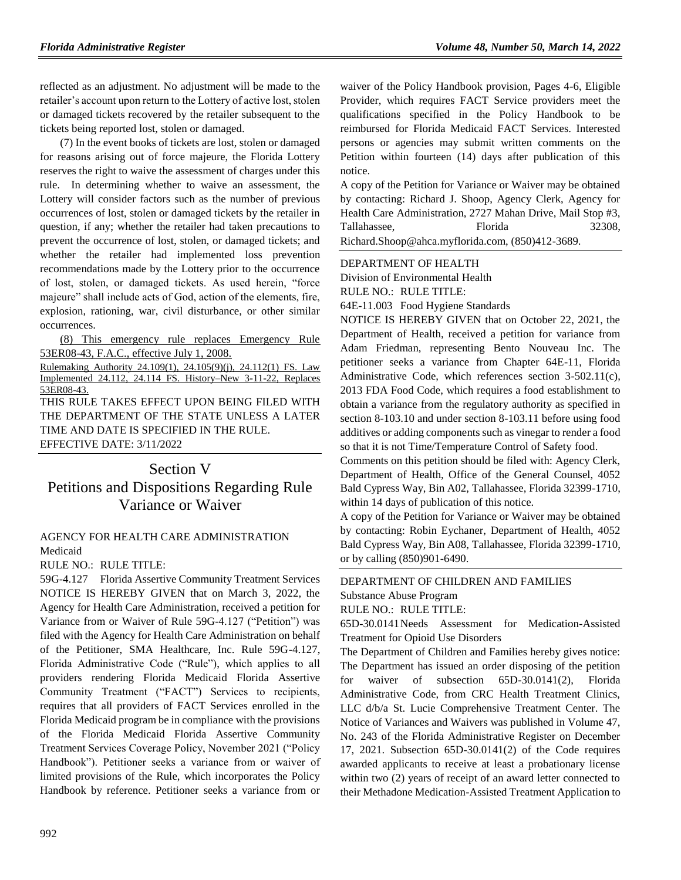reflected as an adjustment. No adjustment will be made to the retailer's account upon return to the Lottery of active lost, stolen or damaged tickets recovered by the retailer subsequent to the tickets being reported lost, stolen or damaged.

(7) In the event books of tickets are lost, stolen or damaged for reasons arising out of force majeure, the Florida Lottery reserves the right to waive the assessment of charges under this rule. In determining whether to waive an assessment, the Lottery will consider factors such as the number of previous occurrences of lost, stolen or damaged tickets by the retailer in question, if any; whether the retailer had taken precautions to prevent the occurrence of lost, stolen, or damaged tickets; and whether the retailer had implemented loss prevention recommendations made by the Lottery prior to the occurrence of lost, stolen, or damaged tickets. As used herein, "force majeure" shall include acts of God, action of the elements, fire, explosion, rationing, war, civil disturbance, or other similar occurrences.

(8) This emergency rule replaces Emergency Rule 53ER08-43, F.A.C., effective July 1, 2008.

Rulemaking Authority 24.109(1), 24.105(9)(j), 24.112(1) FS. Law Implemented 24.112, 24.114 FS. History–New 3-11-22, Replaces 53ER08-43.

THIS RULE TAKES EFFECT UPON BEING FILED WITH THE DEPARTMENT OF THE STATE UNLESS A LATER TIME AND DATE IS SPECIFIED IN THE RULE. EFFECTIVE DATE: 3/11/2022

## Section V Petitions and Dispositions Regarding Rule Variance or Waiver

## [AGENCY FOR HEALTH CARE ADMINISTRATION](https://www.flrules.org/gateway/department.asp?id=59) [Medicaid](https://www.flrules.org/gateway/organization.asp?id=192)

RULE NO.: RULE TITLE:

[59G-4.127](https://www.flrules.org/gateway/ruleNo.asp?id=59G-4.127) Florida Assertive Community Treatment Services NOTICE IS HEREBY GIVEN that on March 3, 2022, the Agency for Health Care Administration, received a petition for Variance from or Waiver of Rule 59G-4.127 ("Petition") was filed with the Agency for Health Care Administration on behalf of the Petitioner, SMA Healthcare, Inc. Rule 59G-4.127, Florida Administrative Code ("Rule"), which applies to all providers rendering Florida Medicaid Florida Assertive Community Treatment ("FACT") Services to recipients, requires that all providers of FACT Services enrolled in the Florida Medicaid program be in compliance with the provisions of the Florida Medicaid Florida Assertive Community Treatment Services Coverage Policy, November 2021 ("Policy Handbook"). Petitioner seeks a variance from or waiver of limited provisions of the Rule, which incorporates the Policy Handbook by reference. Petitioner seeks a variance from or waiver of the Policy Handbook provision, Pages 4-6, Eligible Provider, which requires FACT Service providers meet the qualifications specified in the Policy Handbook to be reimbursed for Florida Medicaid FACT Services. Interested persons or agencies may submit written comments on the Petition within fourteen (14) days after publication of this notice.

A copy of the Petition for Variance or Waiver may be obtained by contacting: Richard J. Shoop, Agency Clerk, Agency for Health Care Administration, 2727 Mahan Drive, Mail Stop #3, Tallahassee, Florida 32308, Richard.Shoop@ahca.myflorida.com, (850)412-3689.

#### [DEPARTMENT OF HEALTH](https://www.flrules.org/gateway/department.asp?id=64)

[Division of Environmental Health](https://www.flrules.org/gateway/organization.asp?id=335) RULE NO.: RULE TITLE:

[64E-11.003](https://www.flrules.org/gateway/ruleNo.asp?id=64E-11.003) Food Hygiene Standards

NOTICE IS HEREBY GIVEN that on October 22, 2021, the Department of Health, received a petition for variance from Adam Friedman, representing Bento Nouveau Inc. The petitioner seeks a variance from Chapter 64E-11, Florida Administrative Code, which references section 3-502.11(c), 2013 FDA Food Code, which requires a food establishment to obtain a variance from the regulatory authority as specified in section 8-103.10 and under section 8-103.11 before using food additives or adding components such as vinegar to render a food so that it is not Time/Temperature Control of Safety food.

Comments on this petition should be filed with: Agency Clerk, Department of Health, Office of the General Counsel, 4052 Bald Cypress Way, Bin A02, Tallahassee, Florida 32399-1710, within 14 days of publication of this notice.

A copy of the Petition for Variance or Waiver may be obtained by contacting: Robin Eychaner, Department of Health, 4052 Bald Cypress Way, Bin A08, Tallahassee, Florida 32399-1710, or by calling (850)901-6490.

### [DEPARTMENT OF CHILDREN AND FAMILIES](https://www.flrules.org/gateway/department.asp?id=65)

[Substance Abuse Program](https://www.flrules.org/gateway/organization.asp?id=343)

RULE NO.: RULE TITLE:

[65D-30.0141N](https://www.flrules.org/gateway/ruleNo.asp?id=65D-30.0141)eeds Assessment for Medication-Assisted Treatment for Opioid Use Disorders

The Department of Children and Families hereby gives notice: The Department has issued an order disposing of the petition for waiver of subsection 65D-30.0141(2), Florida Administrative Code, from CRC Health Treatment Clinics, LLC d/b/a St. Lucie Comprehensive Treatment Center. The Notice of Variances and Waivers was published in Volume 47, No. 243 of the Florida Administrative Register on December 17, 2021. Subsection 65D-30.0141(2) of the Code requires awarded applicants to receive at least a probationary license within two (2) years of receipt of an award letter connected to their Methadone Medication-Assisted Treatment Application to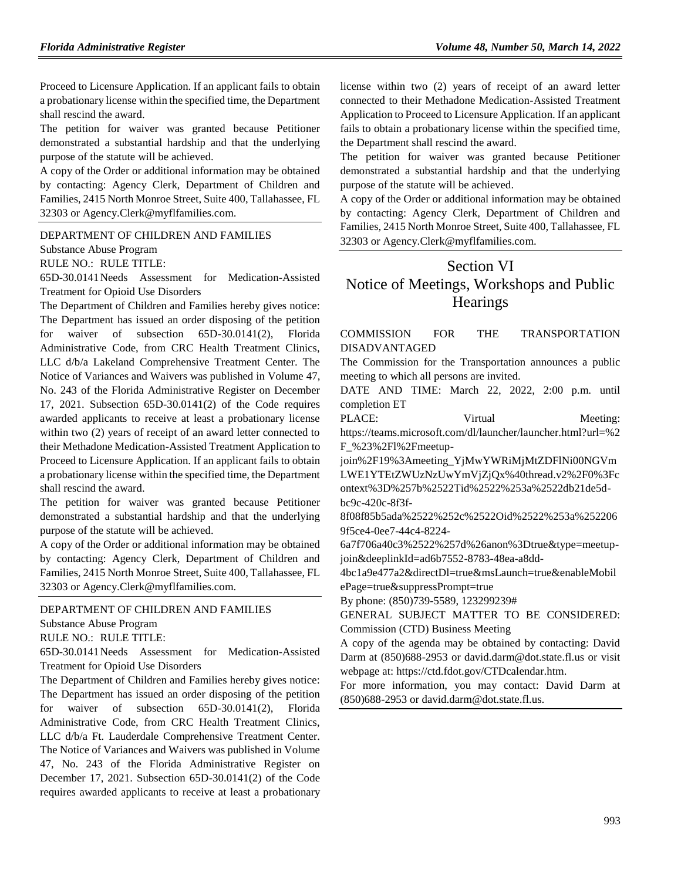Proceed to Licensure Application. If an applicant fails to obtain a probationary license within the specified time, the Department shall rescind the award.

The petition for waiver was granted because Petitioner demonstrated a substantial hardship and that the underlying purpose of the statute will be achieved.

A copy of the Order or additional information may be obtained by contacting: Agency Clerk, Department of Children and Families, 2415 North Monroe Street, Suite 400, Tallahassee, FL 32303 or Agency.Clerk@myflfamilies.com.

#### [DEPARTMENT OF CHILDREN AND FAMILIES](https://www.flrules.org/gateway/department.asp?id=65)

[Substance Abuse Program](https://www.flrules.org/gateway/organization.asp?id=343)

RULE NO.: RULE TITLE:

[65D-30.0141N](https://www.flrules.org/gateway/ruleNo.asp?id=65D-30.0141)eeds Assessment for Medication-Assisted Treatment for Opioid Use Disorders

The Department of Children and Families hereby gives notice: The Department has issued an order disposing of the petition for waiver of subsection 65D-30.0141(2), Florida Administrative Code, from CRC Health Treatment Clinics, LLC d/b/a Lakeland Comprehensive Treatment Center. The Notice of Variances and Waivers was published in Volume 47, No. 243 of the Florida Administrative Register on December 17, 2021. Subsection 65D-30.0141(2) of the Code requires awarded applicants to receive at least a probationary license within two (2) years of receipt of an award letter connected to their Methadone Medication-Assisted Treatment Application to Proceed to Licensure Application. If an applicant fails to obtain a probationary license within the specified time, the Department shall rescind the award.

The petition for waiver was granted because Petitioner demonstrated a substantial hardship and that the underlying purpose of the statute will be achieved.

A copy of the Order or additional information may be obtained by contacting: Agency Clerk, Department of Children and Families, 2415 North Monroe Street, Suite 400, Tallahassee, FL 32303 or Agency.Clerk@myflfamilies.com.

#### [DEPARTMENT OF CHILDREN AND FAMILIES](https://www.flrules.org/gateway/department.asp?id=65)

[Substance Abuse Program](https://www.flrules.org/gateway/organization.asp?id=343)

RULE NO.: RULE TITLE:

[65D-30.0141N](https://www.flrules.org/gateway/ruleNo.asp?id=65D-30.0141)eeds Assessment for Medication-Assisted Treatment for Opioid Use Disorders

The Department of Children and Families hereby gives notice: The Department has issued an order disposing of the petition for waiver of subsection 65D-30.0141(2), Florida Administrative Code, from CRC Health Treatment Clinics, LLC d/b/a Ft. Lauderdale Comprehensive Treatment Center. The Notice of Variances and Waivers was published in Volume 47, No. 243 of the Florida Administrative Register on December 17, 2021. Subsection 65D-30.0141(2) of the Code requires awarded applicants to receive at least a probationary license within two (2) years of receipt of an award letter connected to their Methadone Medication-Assisted Treatment Application to Proceed to Licensure Application. If an applicant fails to obtain a probationary license within the specified time, the Department shall rescind the award.

The petition for waiver was granted because Petitioner demonstrated a substantial hardship and that the underlying purpose of the statute will be achieved.

A copy of the Order or additional information may be obtained by contacting: Agency Clerk, Department of Children and Families, 2415 North Monroe Street, Suite 400, Tallahassee, FL 32303 or Agency.Clerk@myflfamilies.com.

# Section VI Notice of Meetings, Workshops and Public **Hearings**

[COMMISSION FOR THE TRANSPORTATION](https://www.flrules.org/gateway/department.asp?id=41)  [DISADVANTAGED](https://www.flrules.org/gateway/department.asp?id=41)

The Commission for the Transportation announces a public meeting to which all persons are invited.

DATE AND TIME: March 22, 2022, 2:00 p.m. until completion ET

PLACE: Virtual Meeting:

https://teams.microsoft.com/dl/launcher/launcher.html?url=%2 F\_%23%2Fl%2Fmeetup-

join%2F19%3Ameeting\_YjMwYWRiMjMtZDFlNi00NGVm LWE1YTEtZWUzNzUwYmVjZjQx%40thread.v2%2F0%3Fc ontext%3D%257b%2522Tid%2522%253a%2522db21de5d-

bc9c-420c-8f3f-

8f08f85b5ada%2522%252c%2522Oid%2522%253a%252206 9f5ce4-0ee7-44c4-8224-

6a7f706a40c3%2522%257d%26anon%3Dtrue&type=meetupjoin&deeplinkId=ad6b7552-8783-48ea-a8dd-

4bc1a9e477a2&directDl=true&msLaunch=true&enableMobil ePage=true&suppressPrompt=true

By phone: (850)739-5589, 123299239#

GENERAL SUBJECT MATTER TO BE CONSIDERED: Commission (CTD) Business Meeting

A copy of the agenda may be obtained by contacting: David Darm at (850)688-2953 or david.darm@dot.state.fl.us or visit webpage at: https://ctd.fdot.gov/CTDcalendar.htm.

For more information, you may contact: David Darm at (850)688-2953 or david.darm@dot.state.fl.us.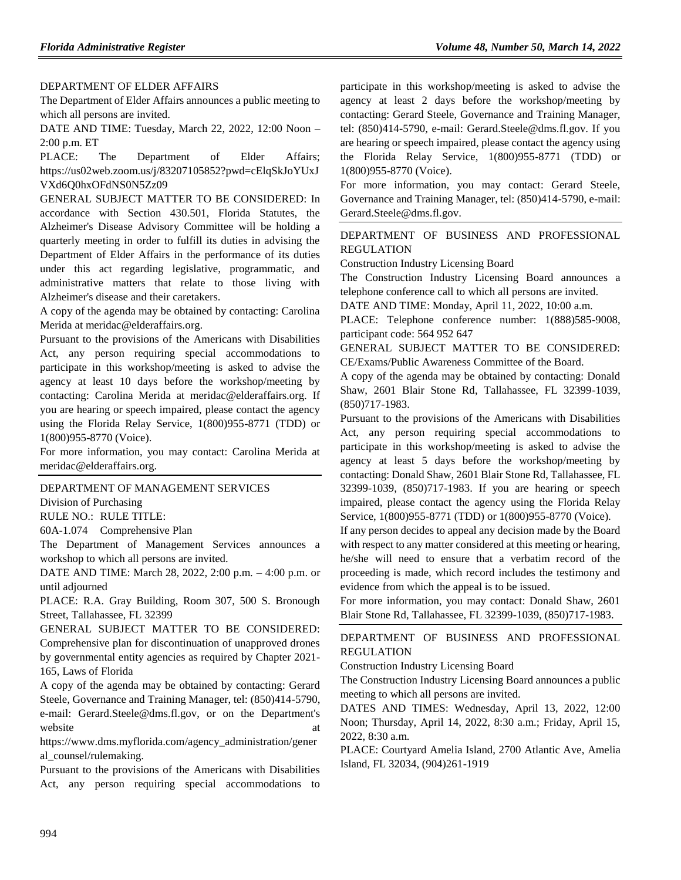#### [DEPARTMENT OF ELDER AFFAIRS](https://www.flrules.org/gateway/department.asp?id=58)

The Department of Elder Affairs announces a public meeting to which all persons are invited.

DATE AND TIME: Tuesday, March 22, 2022, 12:00 Noon – 2:00 p.m. ET

PLACE: The Department of Elder Affairs; https://us02web.zoom.us/j/83207105852?pwd=cElqSkJoYUxJ VXd6Q0hxOFdNS0N5Zz09

GENERAL SUBJECT MATTER TO BE CONSIDERED: In accordance with Section 430.501, Florida Statutes, the Alzheimer's Disease Advisory Committee will be holding a quarterly meeting in order to fulfill its duties in advising the Department of Elder Affairs in the performance of its duties under this act regarding legislative, programmatic, and administrative matters that relate to those living with Alzheimer's disease and their caretakers.

A copy of the agenda may be obtained by contacting: Carolina Merida at meridac@elderaffairs.org.

Pursuant to the provisions of the Americans with Disabilities Act, any person requiring special accommodations to participate in this workshop/meeting is asked to advise the agency at least 10 days before the workshop/meeting by contacting: Carolina Merida at meridac@elderaffairs.org. If you are hearing or speech impaired, please contact the agency using the Florida Relay Service, 1(800)955-8771 (TDD) or 1(800)955-8770 (Voice).

For more information, you may contact: Carolina Merida at meridac@elderaffairs.org.

#### [DEPARTMENT OF MANAGEMENT SERVICES](https://www.flrules.org/gateway/department.asp?id=60)

[Division of Purchasing](https://www.flrules.org/gateway/organization.asp?id=220)

RULE NO.: RULE TITLE:

[60A-1.074](https://www.flrules.org/gateway/ruleNo.asp?id=60A-1.074) Comprehensive Plan

The Department of Management Services announces a workshop to which all persons are invited.

DATE AND TIME: March 28, 2022, 2:00 p.m. – 4:00 p.m. or until adjourned

PLACE: R.A. Gray Building, Room 307, 500 S. Bronough Street, Tallahassee, FL 32399

GENERAL SUBJECT MATTER TO BE CONSIDERED: Comprehensive plan for discontinuation of unapproved drones by governmental entity agencies as required by Chapter 2021- 165, Laws of Florida

A copy of the agenda may be obtained by contacting: Gerard Steele, Governance and Training Manager, tel: (850)414-5790, e-mail: Gerard.Steele@dms.fl.gov, or on the Department's website

https://www.dms.myflorida.com/agency\_administration/gener al\_counsel/rulemaking.

Pursuant to the provisions of the Americans with Disabilities Act, any person requiring special accommodations to participate in this workshop/meeting is asked to advise the agency at least 2 days before the workshop/meeting by contacting: Gerard Steele, Governance and Training Manager, tel: (850)414-5790, e-mail: Gerard.Steele@dms.fl.gov. If you are hearing or speech impaired, please contact the agency using the Florida Relay Service, 1(800)955-8771 (TDD) or 1(800)955-8770 (Voice).

For more information, you may contact: Gerard Steele, Governance and Training Manager, tel: (850)414-5790, e-mail: Gerard.Steele@dms.fl.gov.

#### [DEPARTMENT OF BUSINESS AND PROFESSIONAL](https://www.flrules.org/gateway/department.asp?id=61)  [REGULATION](https://www.flrules.org/gateway/department.asp?id=61)

[Construction Industry Licensing Board](https://www.flrules.org/gateway/organization.asp?id=274)

The Construction Industry Licensing Board announces a telephone conference call to which all persons are invited.

DATE AND TIME: Monday, April 11, 2022, 10:00 a.m.

PLACE: Telephone conference number: 1(888)585-9008, participant code: 564 952 647

GENERAL SUBJECT MATTER TO BE CONSIDERED: CE/Exams/Public Awareness Committee of the Board.

A copy of the agenda may be obtained by contacting: Donald Shaw, 2601 Blair Stone Rd, Tallahassee, FL 32399-1039, (850)717-1983.

Pursuant to the provisions of the Americans with Disabilities Act, any person requiring special accommodations to participate in this workshop/meeting is asked to advise the agency at least 5 days before the workshop/meeting by contacting: Donald Shaw, 2601 Blair Stone Rd, Tallahassee, FL 32399-1039, (850)717-1983. If you are hearing or speech impaired, please contact the agency using the Florida Relay Service, 1(800)955-8771 (TDD) or 1(800)955-8770 (Voice).

If any person decides to appeal any decision made by the Board with respect to any matter considered at this meeting or hearing, he/she will need to ensure that a verbatim record of the proceeding is made, which record includes the testimony and evidence from which the appeal is to be issued.

For more information, you may contact: Donald Shaw, 2601 Blair Stone Rd, Tallahassee, FL 32399-1039, (850)717-1983.

#### [DEPARTMENT OF BUSINESS AND PROFESSIONAL](https://www.flrules.org/gateway/department.asp?id=61)  [REGULATION](https://www.flrules.org/gateway/department.asp?id=61)

[Construction Industry Licensing Board](https://www.flrules.org/gateway/organization.asp?id=274)

The Construction Industry Licensing Board announces a public meeting to which all persons are invited.

DATES AND TIMES: Wednesday, April 13, 2022, 12:00 Noon; Thursday, April 14, 2022, 8:30 a.m.; Friday, April 15, 2022, 8:30 a.m.

PLACE: Courtyard Amelia Island, 2700 Atlantic Ave, Amelia Island, FL 32034, (904)261-1919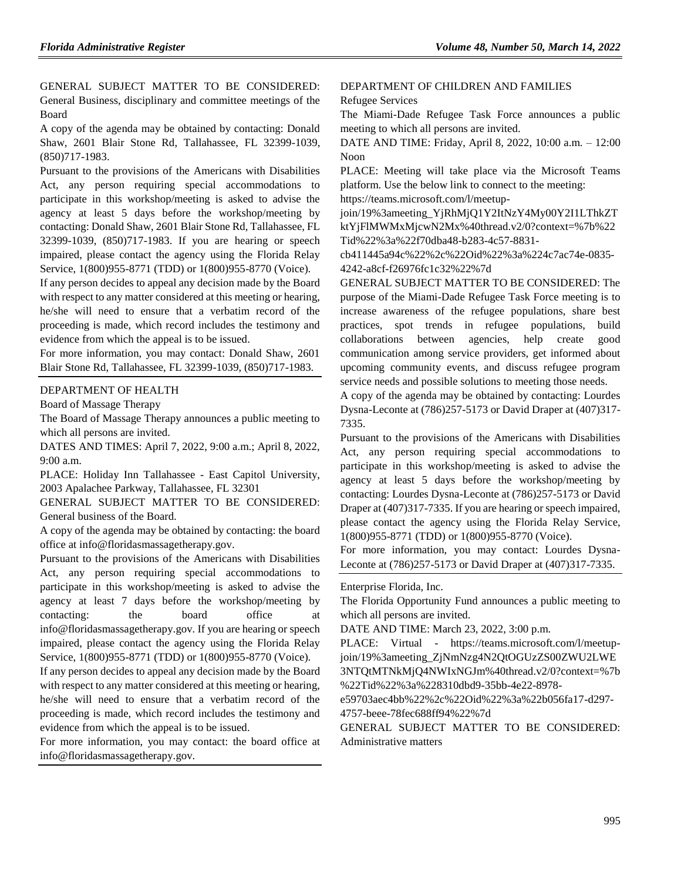GENERAL SUBJECT MATTER TO BE CONSIDERED: General Business, disciplinary and committee meetings of the Board

A copy of the agenda may be obtained by contacting: Donald Shaw, 2601 Blair Stone Rd, Tallahassee, FL 32399-1039, (850)717-1983.

Pursuant to the provisions of the Americans with Disabilities Act, any person requiring special accommodations to participate in this workshop/meeting is asked to advise the agency at least 5 days before the workshop/meeting by contacting: Donald Shaw, 2601 Blair Stone Rd, Tallahassee, FL 32399-1039, (850)717-1983. If you are hearing or speech impaired, please contact the agency using the Florida Relay Service, 1(800)955-8771 (TDD) or 1(800)955-8770 (Voice).

If any person decides to appeal any decision made by the Board with respect to any matter considered at this meeting or hearing, he/she will need to ensure that a verbatim record of the proceeding is made, which record includes the testimony and evidence from which the appeal is to be issued.

For more information, you may contact: Donald Shaw, 2601 Blair Stone Rd, Tallahassee, FL 32399-1039, (850)717-1983.

#### [DEPARTMENT OF HEALTH](https://www.flrules.org/gateway/department.asp?id=64)

[Board of Massage Therapy](https://www.flrules.org/gateway/organization.asp?id=330)

The Board of Massage Therapy announces a public meeting to which all persons are invited.

DATES AND TIMES: April 7, 2022, 9:00 a.m.; April 8, 2022, 9:00 a.m.

PLACE: Holiday Inn Tallahassee - East Capitol University, 2003 Apalachee Parkway, Tallahassee, FL 32301

GENERAL SUBJECT MATTER TO BE CONSIDERED: General business of the Board.

A copy of the agenda may be obtained by contacting: the board office at info@floridasmassagetherapy.gov.

Pursuant to the provisions of the Americans with Disabilities Act, any person requiring special accommodations to participate in this workshop/meeting is asked to advise the agency at least 7 days before the workshop/meeting by contacting: the board office at info@floridasmassagetherapy.gov. If you are hearing or speech impaired, please contact the agency using the Florida Relay Service, 1(800)955-8771 (TDD) or 1(800)955-8770 (Voice).

If any person decides to appeal any decision made by the Board with respect to any matter considered at this meeting or hearing, he/she will need to ensure that a verbatim record of the proceeding is made, which record includes the testimony and evidence from which the appeal is to be issued.

For more information, you may contact: the board office at info@floridasmassagetherapy.gov.

#### [DEPARTMENT OF CHILDREN AND FAMILIES](https://www.flrules.org/gateway/department.asp?id=65) [Refugee Services](https://www.flrules.org/gateway/organization.asp?id=528)

The Miami-Dade Refugee Task Force announces a public meeting to which all persons are invited.

DATE AND TIME: Friday, April 8, 2022, 10:00 a.m. – 12:00 Noon

PLACE: Meeting will take place via the Microsoft Teams platform. Use the below link to connect to the meeting:

https://teams.microsoft.com/l/meetup-

join/19%3ameeting\_YjRhMjQ1Y2ItNzY4My00Y2I1LThkZT ktYjFlMWMxMjcwN2Mx%40thread.v2/0?context=%7b%22 Tid%22%3a%22f70dba48-b283-4c57-8831-

cb411445a94c%22%2c%22Oid%22%3a%224c7ac74e-0835- 4242-a8cf-f26976fc1c32%22%7d

GENERAL SUBJECT MATTER TO BE CONSIDERED: The purpose of the Miami-Dade Refugee Task Force meeting is to increase awareness of the refugee populations, share best practices, spot trends in refugee populations, build collaborations between agencies, help create good communication among service providers, get informed about upcoming community events, and discuss refugee program service needs and possible solutions to meeting those needs.

A copy of the agenda may be obtained by contacting: Lourdes Dysna-Leconte at (786)257-5173 or David Draper at (407)317- 7335.

Pursuant to the provisions of the Americans with Disabilities Act, any person requiring special accommodations to participate in this workshop/meeting is asked to advise the agency at least 5 days before the workshop/meeting by contacting: Lourdes Dysna-Leconte at (786)257-5173 or David Draper at (407)317-7335. If you are hearing or speech impaired, please contact the agency using the Florida Relay Service, 1(800)955-8771 (TDD) or 1(800)955-8770 (Voice).

For more information, you may contact: Lourdes Dysna-Leconte at (786)257-5173 or David Draper at (407)317-7335.

#### [Enterprise Florida, Inc.](https://www.flrules.org/gateway/organization.asp?id=680)

The Florida Opportunity Fund announces a public meeting to which all persons are invited.

DATE AND TIME: March 23, 2022, 3:00 p.m.

PLACE: Virtual - https://teams.microsoft.com/l/meetupjoin/19%3ameeting\_ZjNmNzg4N2QtOGUzZS00ZWU2LWE 3NTQtMTNkMjQ4NWIxNGJm%40thread.v2/0?context=%7b %22Tid%22%3a%228310dbd9-35bb-4e22-8978-

e59703aec4bb%22%2c%22Oid%22%3a%22b056fa17-d297- 4757-beee-78fec688ff94%22%7d

GENERAL SUBJECT MATTER TO BE CONSIDERED: Administrative matters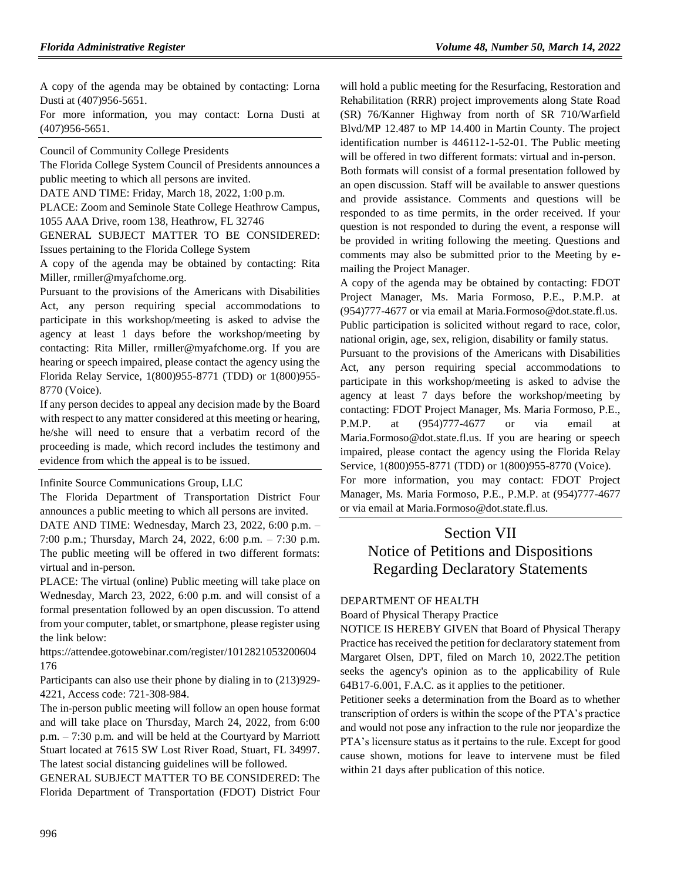A copy of the agenda may be obtained by contacting: Lorna Dusti at (407)956-5651.

For more information, you may contact: Lorna Dusti at (407)956-5651.

[Council of Community College Presidents](https://www.flrules.org/gateway/organization.asp?id=740)

The Florida College System Council of Presidents announces a public meeting to which all persons are invited.

DATE AND TIME: Friday, March 18, 2022, 1:00 p.m.

PLACE: Zoom and Seminole State College Heathrow Campus, 1055 AAA Drive, room 138, Heathrow, FL 32746

GENERAL SUBJECT MATTER TO BE CONSIDERED: Issues pertaining to the Florida College System

A copy of the agenda may be obtained by contacting: Rita Miller, rmiller@myafchome.org.

Pursuant to the provisions of the Americans with Disabilities Act, any person requiring special accommodations to participate in this workshop/meeting is asked to advise the agency at least 1 days before the workshop/meeting by contacting: Rita Miller, rmiller@myafchome.org. If you are hearing or speech impaired, please contact the agency using the Florida Relay Service, 1(800)955-8771 (TDD) or 1(800)955- 8770 (Voice).

If any person decides to appeal any decision made by the Board with respect to any matter considered at this meeting or hearing, he/she will need to ensure that a verbatim record of the proceeding is made, which record includes the testimony and evidence from which the appeal is to be issued.

[Infinite Source Communications Group, LLC](https://www.flrules.org/gateway/organization.asp?id=1035)

The Florida Department of Transportation District Four announces a public meeting to which all persons are invited. DATE AND TIME: Wednesday, March 23, 2022, 6:00 p.m. – 7:00 p.m.; Thursday, March 24, 2022, 6:00 p.m. – 7:30 p.m. The public meeting will be offered in two different formats: virtual and in-person.

PLACE: The virtual (online) Public meeting will take place on Wednesday, March 23, 2022, 6:00 p.m. and will consist of a formal presentation followed by an open discussion. To attend from your computer, tablet, or smartphone, please register using the link below:

https://attendee.gotowebinar.com/register/1012821053200604 176

Participants can also use their phone by dialing in to (213)929- 4221, Access code: 721-308-984.

The in-person public meeting will follow an open house format and will take place on Thursday, March 24, 2022, from 6:00 p.m. – 7:30 p.m. and will be held at the Courtyard by Marriott Stuart located at 7615 SW Lost River Road, Stuart, FL 34997. The latest social distancing guidelines will be followed.

GENERAL SUBJECT MATTER TO BE CONSIDERED: The Florida Department of Transportation (FDOT) District Four will hold a public meeting for the Resurfacing, Restoration and Rehabilitation (RRR) project improvements along State Road (SR) 76/Kanner Highway from north of SR 710/Warfield Blvd/MP 12.487 to MP 14.400 in Martin County. The project identification number is 446112-1-52-01. The Public meeting will be offered in two different formats: virtual and in-person.

Both formats will consist of a formal presentation followed by an open discussion. Staff will be available to answer questions and provide assistance. Comments and questions will be responded to as time permits, in the order received. If your question is not responded to during the event, a response will be provided in writing following the meeting. Questions and comments may also be submitted prior to the Meeting by emailing the Project Manager.

A copy of the agenda may be obtained by contacting: FDOT Project Manager, Ms. Maria Formoso, P.E., P.M.P. at (954)777-4677 or via email at Maria.Formoso@dot.state.fl.us. Public participation is solicited without regard to race, color, national origin, age, sex, religion, disability or family status.

Pursuant to the provisions of the Americans with Disabilities Act, any person requiring special accommodations to participate in this workshop/meeting is asked to advise the agency at least 7 days before the workshop/meeting by contacting: FDOT Project Manager, Ms. Maria Formoso, P.E., P.M.P. at (954)777-4677 or via email at Maria.Formoso@dot.state.fl.us. If you are hearing or speech impaired, please contact the agency using the Florida Relay Service, 1(800)955-8771 (TDD) or 1(800)955-8770 (Voice). For more information, you may contact: FDOT Project Manager, Ms. Maria Formoso, P.E., P.M.P. at (954)777-4677

or via email at Maria.Formoso@dot.state.fl.us.

# Section VII Notice of Petitions and Dispositions Regarding Declaratory Statements

#### [DEPARTMENT OF HEALTH](https://www.flrules.org/gateway/department.asp?id=64)

[Board of Physical Therapy Practice](https://www.flrules.org/gateway/organization.asp?id=308)

NOTICE IS HEREBY GIVEN that Board of Physical Therapy Practice has received the petition for declaratory statement from Margaret Olsen, DPT, filed on March 10, 2022.The petition seeks the agency's opinion as to the applicability of Rule 64B17-6.001, F.A.C. as it applies to the petitioner.

Petitioner seeks a determination from the Board as to whether transcription of orders is within the scope of the PTA's practice and would not pose any infraction to the rule nor jeopardize the PTA's licensure status as it pertains to the rule. Except for good cause shown, motions for leave to intervene must be filed within 21 days after publication of this notice.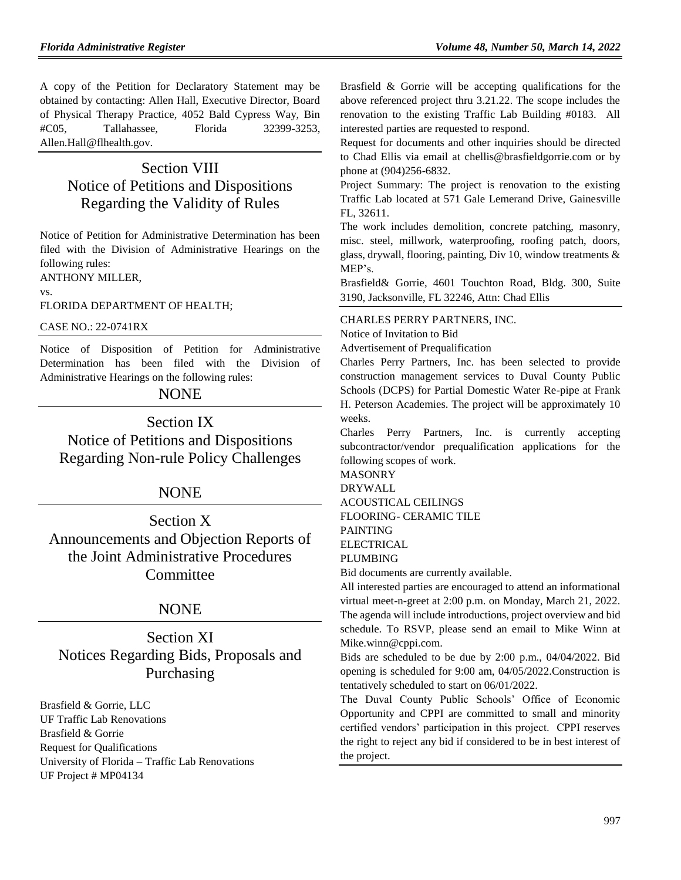A copy of the Petition for Declaratory Statement may be obtained by contacting: Allen Hall, Executive Director, Board of Physical Therapy Practice, 4052 Bald Cypress Way, Bin #C05, Tallahassee, Florida 32399-3253, Allen.Hall@flhealth.gov.

# Section VIII Notice of Petitions and Dispositions Regarding the Validity of Rules

Notice of Petition for Administrative Determination has been filed with the Division of Administrative Hearings on the following rules:

ANTHONY MILLER,

vs.

FLORIDA DEPARTMENT OF HEALTH;

#### CASE NO.: 22-0741RX

Notice of Disposition of Petition for Administrative Determination has been filed with the Division of Administrative Hearings on the following rules:

### NONE

Section IX Notice of Petitions and Dispositions Regarding Non-rule Policy Challenges

## NONE

Section X Announcements and Objection Reports of the Joint Administrative Procedures **Committee** 

## NONE

Section XI Notices Regarding Bids, Proposals and Purchasing

[Brasfield & Gorrie, LLC](https://www.flrules.org/gateway/organization.asp?id=1219) UF Traffic Lab Renovations Brasfield & Gorrie Request for Qualifications University of Florida – Traffic Lab Renovations UF Project # MP04134

Brasfield & Gorrie will be accepting qualifications for the above referenced project thru 3.21.22. The scope includes the renovation to the existing Traffic Lab Building #0183. All interested parties are requested to respond.

Request for documents and other inquiries should be directed to Chad Ellis via email at [chellis@brasfieldgorrie.com](mailto:chellis@brasfieldgorrie.com) or by phone at (904)256-6832.

Project Summary: The project is renovation to the existing Traffic Lab located at 571 Gale Lemerand Drive, Gainesville FL, 32611.

The work includes demolition, concrete patching, masonry, misc. steel, millwork, waterproofing, roofing patch, doors, glass, drywall, flooring, painting, Div 10, window treatments & MEP's.

Brasfield& Gorrie, 4601 Touchton Road, Bldg. 300, Suite 3190, Jacksonville, FL 32246, Attn: Chad Ellis

#### [CHARLES PERRY PARTNERS, INC.](https://www.flrules.org/gateway/organization.asp?id=1247)

Notice of Invitation to Bid

Advertisement of Prequalification

Charles Perry Partners, Inc. has been selected to provide construction management services to Duval County Public Schools (DCPS) for Partial Domestic Water Re-pipe at Frank H. Peterson Academies. The project will be approximately 10 weeks.

Charles Perry Partners, Inc. is currently accepting subcontractor/vendor prequalification applications for the following scopes of work.

### MASONRY DRYWALL ACOUSTICAL CEILINGS FLOORING- CERAMIC TILE PAINTING

ELECTRICAL

PLUMBING

Bid documents are currently available.

All interested parties are encouraged to attend an informational virtual meet-n-greet at 2:00 p.m. on Monday, March 21, 2022. The agenda will include introductions, project overview and bid schedule. To RSVP, please send an email to Mike Winn at [Mike.winn@cppi.com.](mailto:Mike.winn@cppi.com)

Bids are scheduled to be due by 2:00 p.m., 04/04/2022. Bid opening is scheduled for 9:00 am, 04/05/2022.Construction is tentatively scheduled to start on 06/01/2022.

The Duval County Public Schools' Office of Economic Opportunity and CPPI are committed to small and minority certified vendors' participation in this project. CPPI reserves the right to reject any bid if considered to be in best interest of the project.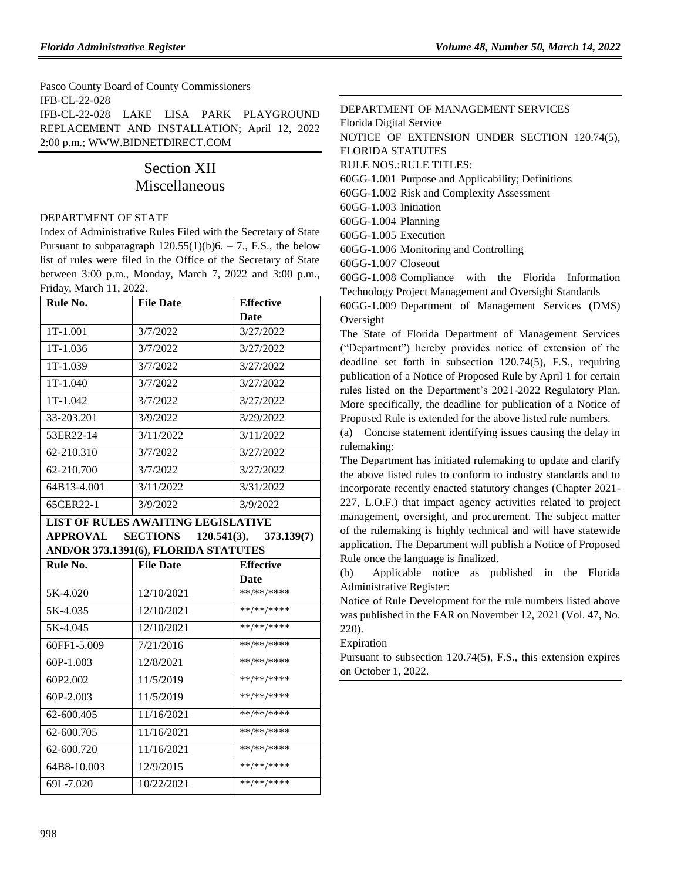[Pasco County Board of County Commissioners](https://www.flrules.org/gateway/organization.asp?id=1352) IFB-CL-22-028 IFB-CL-22-028 LAKE LISA PARK PLAYGROUND REPLACEMENT AND INSTALLATION; April 12, 2022 2:00 p.m.; [WWW.BIDNETDIRECT.COM](http://www.bidnetdirect.com/)

# Section XII Miscellaneous

#### [DEPARTMENT OF STATE](https://www.flrules.org/gateway/department.asp?id=1)

Index of Administrative Rules Filed with the Secretary of State Pursuant to subparagraph  $120.55(1)(b)6. - 7$ ., F.S., the below list of rules were filed in the Office of the Secretary of State between 3:00 p.m., Monday, March 7, 2022 and 3:00 p.m., Friday, March 11, 2022.

| Rule No.                             | <b>File Date</b>                          | <b>Effective</b>         |  |
|--------------------------------------|-------------------------------------------|--------------------------|--|
|                                      |                                           | Date                     |  |
| 1T-1.001                             | 3/7/2022                                  | 3/27/2022                |  |
| 1T-1.036                             | 3/7/2022                                  | 3/27/2022                |  |
| 1T-1.039                             | 3/7/2022                                  | 3/27/2022                |  |
| $1T-1.040$                           | 3/7/2022                                  | 3/27/2022                |  |
| 1T-1.042                             | 3/7/2022                                  | 3/27/2022                |  |
| 33-203.201                           | 3/9/2022                                  | 3/29/2022                |  |
| 53ER22-14                            | 3/11/2022                                 | 3/11/2022                |  |
| 62-210.310                           | 3/7/2022                                  | 3/27/2022                |  |
| 62-210.700                           | 3/7/2022                                  | 3/27/2022                |  |
| 64B13-4.001                          | 3/11/2022                                 | 3/31/2022                |  |
| 65CER22-1                            | 3/9/2022                                  | 3/9/2022                 |  |
|                                      | <b>LIST OF RULES AWAITING LEGISLATIVE</b> |                          |  |
|                                      | APPROVAL SECTIONS 120.541(3), 373.139(7)  |                          |  |
| AND/OR 373.1391(6), FLORIDA STATUTES |                                           |                          |  |
|                                      |                                           |                          |  |
| Rule No.                             | <b>File Date</b>                          | <b>Effective</b>         |  |
|                                      |                                           | <b>Date</b>              |  |
| 5K-4.020                             | 12/10/2021                                | **/**/****               |  |
| 5K-4.035                             | 12/10/2021                                | **/**/****               |  |
| 5K-4.045                             | 12/10/2021                                | **/**/****               |  |
| 60FF1-5.009                          | 7/21/2016                                 | **/**/****               |  |
| $60P-1.003$                          | 12/8/2021                                 | **/**/****               |  |
| 60P2.002                             | 11/5/2019                                 | **/**/****               |  |
| 60P-2.003                            | 11/5/2019                                 | **/**/****               |  |
| 62-600.405                           | 11/16/2021                                | **/**/****               |  |
| 62-600.705                           | 11/16/2021                                | **/**/****               |  |
| 62-600.720                           | 11/16/2021                                | **/**/****               |  |
| 64B8-10.003<br>69L-7.020             | 12/9/2015<br>10/22/2021                   | **/**/****<br>**/**/**** |  |

[DEPARTMENT OF MANAGEMENT SERVICES](https://www.flrules.org/gateway/department.asp?id=60) [Florida Digital Service](https://www.flrules.org/gateway/organization.asp?id=1376) NOTICE OF EXTENSION UNDER SECTION 120.74(5), FLORIDA STATUTES RULE NOS.:RULE TITLES: [60GG-1.001](https://www.flrules.org/gateway/ruleNo.asp?id=60GG-1.001) Purpose and Applicability; Definitions [60GG-1.002](https://www.flrules.org/gateway/ruleNo.asp?id=60GG-1.002) Risk and Complexity Assessment [60GG-1.003](https://www.flrules.org/gateway/ruleNo.asp?id=60GG-1.003) Initiation [60GG-1.004](https://www.flrules.org/gateway/ruleNo.asp?id=60GG-1.004) Planning [60GG-1.005](https://www.flrules.org/gateway/ruleNo.asp?id=60GG-1.005) Execution [60GG-1.006](https://www.flrules.org/gateway/ruleNo.asp?id=60GG-1.006) Monitoring and Controlling [60GG-1.007](https://www.flrules.org/gateway/ruleNo.asp?id=60GG-1.007) Closeout [60GG-1.008](https://www.flrules.org/gateway/ruleNo.asp?id=60GG-1.008) Compliance with the Florida Information Technology Project Management and Oversight Standards [60GG-1.009](https://www.flrules.org/gateway/ruleNo.asp?id=60GG-1.009) Department of Management Services (DMS) Oversight

The State of Florida Department of Management Services ("Department") hereby provides notice of extension of the deadline set forth in subsection 120.74(5), F.S., requiring publication of a Notice of Proposed Rule by April 1 for certain rules listed on the Department's 2021-2022 Regulatory Plan. More specifically, the deadline for publication of a Notice of Proposed Rule is extended for the above listed rule numbers.

(a) Concise statement identifying issues causing the delay in rulemaking:

The Department has initiated rulemaking to update and clarify the above listed rules to conform to industry standards and to incorporate recently enacted statutory changes (Chapter 2021- 227, L.O.F.) that impact agency activities related to project management, oversight, and procurement. The subject matter of the rulemaking is highly technical and will have statewide application. The Department will publish a Notice of Proposed Rule once the language is finalized.

(b) Applicable notice as published in the Florida Administrative Register:

Notice of Rule Development for the rule numbers listed above was published in the FAR on November 12, 2021 (Vol. 47, No. 220).

Expiration

Pursuant to subsection 120.74(5), F.S., this extension expires on October 1, 2022.